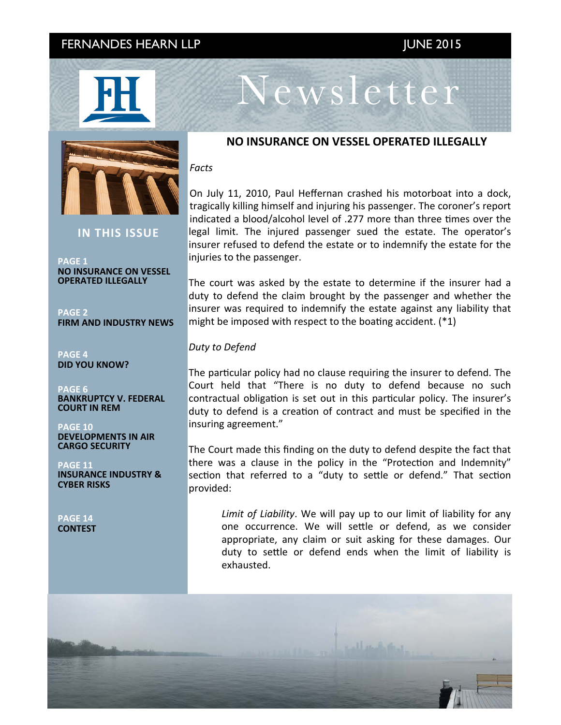## FERNANDES HEARN LLP JUNE 2015





**IN THIS ISSUE** 

**PAGE 1 NO INSURANCE ON VESSEL OPERATED ILLEGALLY** 

**PAGE 2 FIRM AND INDUSTRY NEWS** 

**PAGE 4 DID YOU KNOW?**

**PAGE 6 BANKRUPTCY V. FEDERAL COURT IN REM** 

**PAGE 10 DEVELOPMENTS IN AIR CARGO SECURITY** 

**PAGF 11 INSURANCE INDUSTRY & CYBER RISKS**

**PAGE 14 CONTEST** 

### **NO INSURANCE ON VESSEL OPERATED ILLEGALLY**

Newsletter

#### *Facts*

On July 11, 2010, Paul Heffernan crashed his motorboat into a dock, tragically killing himself and injuring his passenger. The coroner's report indicated a blood/alcohol level of .277 more than three times over the legal limit. The injured passenger sued the estate. The operator's insurer refused to defend the estate or to indemnify the estate for the injuries to the passenger.

The court was asked by the estate to determine if the insurer had a duty to defend the claim brought by the passenger and whether the insurer was required to indemnify the estate against any liability that might be imposed with respect to the boating accident.  $(*1)$ 

#### *Duty to Defend*

The particular policy had no clause requiring the insurer to defend. The Court held that "There is no duty to defend because no such contractual obligation is set out in this particular policy. The insurer's duty to defend is a creation of contract and must be specified in the insuring agreement."

The Court made this finding on the duty to defend despite the fact that there was a clause in the policy in the "Protection and Indemnity" section that referred to a "duty to settle or defend." That section provided: 

Limit of Liability. We will pay up to our limit of liability for any one occurrence. We will settle or defend, as we consider appropriate, any claim or suit asking for these damages. Our duty to settle or defend ends when the limit of liability is exhausted. 

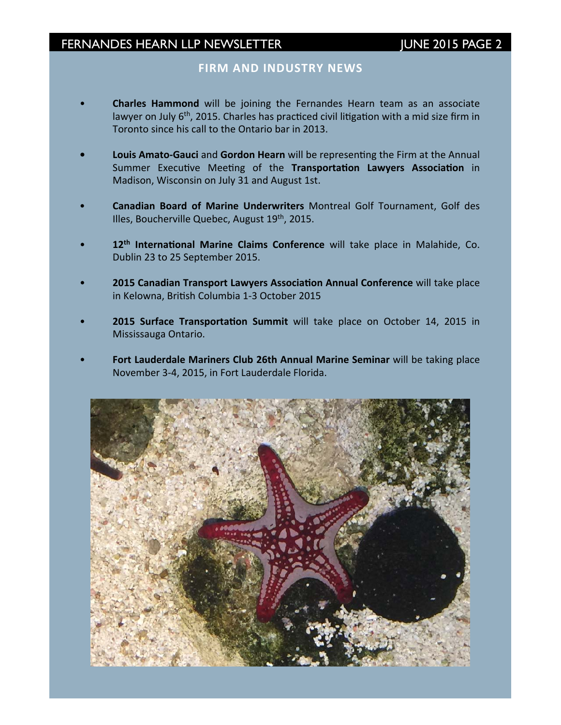### **FIRM AND INDUSTRY NEWS**

- **Charles Hammond** will be joining the Fernandes Hearn team as an associate lawyer on July  $6<sup>th</sup>$ , 2015. Charles has practiced civil litigation with a mid size firm in Toronto since his call to the Ontario bar in 2013.
- **Louis Amato-Gauci** and Gordon Hearn will be representing the Firm at the Annual Summer Executive Meeting of the Transportation Lawyers Association in Madison, Wisconsin on July 31 and August 1st.
- **Canadian Board of Marine Underwriters** Montreal Golf Tournament, Golf des Illes, Boucherville Quebec, August 19<sup>th</sup>, 2015.
- 12<sup>th</sup> International Marine Claims Conference will take place in Malahide, Co. Dublin 23 to 25 September 2015.
- **2015 Canadian Transport Lawyers Association Annual Conference** will take place in Kelowna, British Columbia 1-3 October 2015
- **2015 Surface Transportation Summit** will take place on October 14, 2015 in Mississauga Ontario.
- Fort Lauderdale Mariners Club 26th Annual Marine Seminar will be taking place November 3-4, 2015, in Fort Lauderdale Florida.

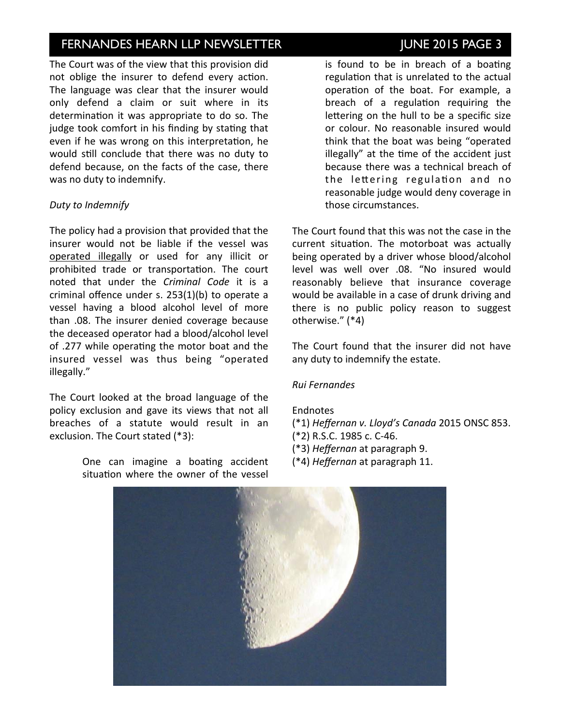# INVESTOR NEWSLETTER ISSUE NEWSLETTER TERMINDES HEARN LLP NEWSLETTER TERMINOLOGY OF THE SAME 2015 PAGE 3

The Court was of the view that this provision did not oblige the insurer to defend every action. The language was clear that the insurer would only defend a claim or suit where in its determination it was appropriate to do so. The judge took comfort in his finding by stating that even if he was wrong on this interpretation, he would still conclude that there was no duty to defend because, on the facts of the case, there was no duty to indemnify.

### *Duty to Indemnify*

The policy had a provision that provided that the insurer would not be liable if the vessel was operated illegally or used for any illicit or prohibited trade or transportation. The court noted that under the *Criminal Code* it is a criminal offence under s.  $253(1)(b)$  to operate a vessel having a blood alcohol level of more than .08. The insurer denied coverage because the deceased operator had a blood/alcohol level of .277 while operating the motor boat and the insured vessel was thus being "operated illegally."

The Court looked at the broad language of the policy exclusion and gave its views that not all breaches of a statute would result in an exclusion. The Court stated (\*3):

> One can imagine a boating accident situation where the owner of the vessel

is found to be in breach of a boating regulation that is unrelated to the actual operation of the boat. For example, a breach of a regulation requiring the lettering on the hull to be a specific size or colour. No reasonable insured would think that the boat was being "operated illegally" at the time of the accident just because there was a technical breach of the lettering regulation and no reasonable judge would deny coverage in those circumstances.

The Court found that this was not the case in the current situation. The motorboat was actually being operated by a driver whose blood/alcohol level was well over .08. "No insured would reasonably believe that insurance coverage would be available in a case of drunk driving and there is no public policy reason to suggest otherwise." (\*4)

The Court found that the insurer did not have any duty to indemnify the estate.

#### *Rui Fernandes*

#### Endnotes

- (\*1) *Heffernan v. Lloyd's Canada* 2015 ONSC 853.
- (\*2) R.S.C. 1985 c. C-46.
- (\*3) *Heffernan* at paragraph 9.
- (\*4) *Heffernan* at paragraph 11.

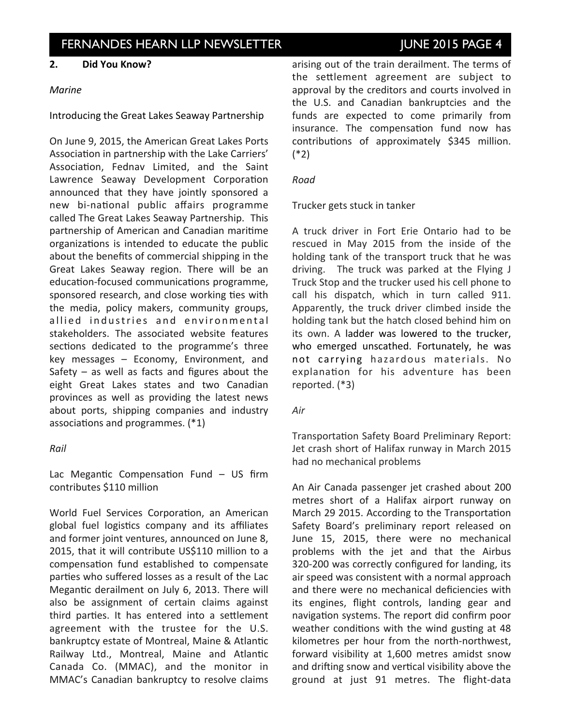#### **2. Did You Know?**

#### *Marine*

Introducing the Great Lakes Seaway Partnership

On June 9, 2015, the American Great Lakes Ports Association in partnership with the Lake Carriers' Association, Fednav Limited, and the Saint Lawrence Seaway Development Corporation announced that they have jointly sponsored a new bi-national public affairs programme called The Great Lakes Seaway Partnership. This partnership of American and Canadian maritime organizations is intended to educate the public about the benefits of commercial shipping in the Great Lakes Seaway region. There will be an education-focused communications programme, sponsored research, and close working ties with the media, policy makers, community groups, allied industries and environmental stakeholders. The associated website features sections dedicated to the programme's three  $key$  messages  $-$  Economy, Environment, and Safety – as well as facts and figures about the eight Great Lakes states and two Canadian provinces as well as providing the latest news about ports, shipping companies and industry associations and programmes.  $(*1)$ 

#### *Rail*

Lac Megantic Compensation Fund  $-$  US firm contributes \$110 million

World Fuel Services Corporation, an American global fuel logistics company and its affiliates and former joint ventures, announced on June 8, 2015, that it will contribute US\$110 million to a compensation fund established to compensate parties who suffered losses as a result of the Lac Megantic derailment on July 6, 2013. There will also be assignment of certain claims against third parties. It has entered into a settlement agreement with the trustee for the U.S. bankruptcy estate of Montreal, Maine & Atlantic Railway Ltd., Montreal, Maine and Atlantic Canada Co. (MMAC), and the monitor in MMAC's Canadian bankruptcy to resolve claims arising out of the train derailment. The terms of the settlement agreement are subject to approval by the creditors and courts involved in the U.S. and Canadian bankruptcies and the funds are expected to come primarily from insurance. The compensation fund now has contributions of approximately \$345 million. (\*2)

#### *Road*

Trucker gets stuck in tanker

A truck driver in Fort Erie Ontario had to be rescued in May 2015 from the inside of the holding tank of the transport truck that he was driving. The truck was parked at the Flying J Truck Stop and the trucker used his cell phone to call his dispatch, which in turn called 911. Apparently, the truck driver climbed inside the holding tank but the hatch closed behind him on its own. A ladder was lowered to the trucker, who emerged unscathed. Fortunately, he was not carrying hazardous materials. No explanation for his adventure has been reported. (\*3)

#### *Air*

Transportation Safety Board Preliminary Report: Jet crash short of Halifax runway in March 2015 had no mechanical problems

An Air Canada passenger jet crashed about 200 metres short of a Halifax airport runway on March 29 2015. According to the Transportation Safety Board's preliminary report released on June 15, 2015, there were no mechanical problems with the jet and that the Airbus 320-200 was correctly configured for landing, its air speed was consistent with a normal approach and there were no mechanical deficiencies with its engines, flight controls, landing gear and navigation systems. The report did confirm poor weather conditions with the wind gusting at 48 kilometres per hour from the north-northwest, forward visibility at 1,600 metres amidst snow and drifting snow and vertical visibility above the ground at just 91 metres. The flight-data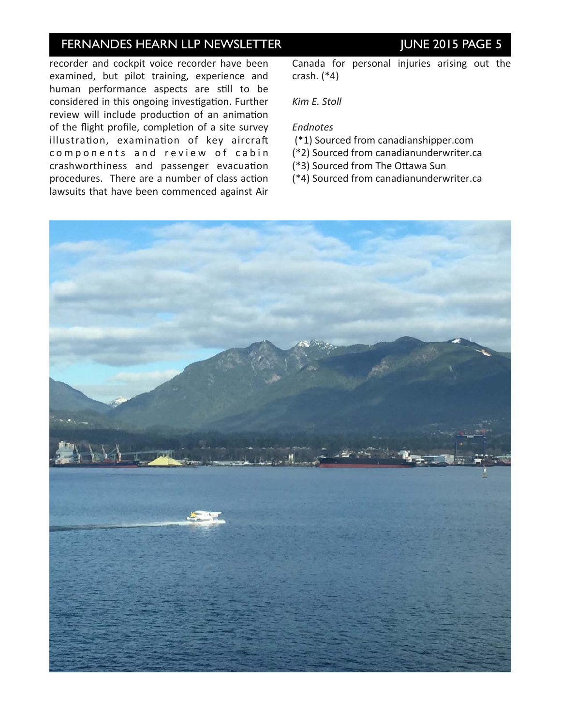# INVESTOR NEWSLETTER ISSUE NEWSLETTER TERMINE 2015 PAGE 5

recorder and cockpit voice recorder have been examined, but pilot training, experience and human performance aspects are still to be considered in this ongoing investigation. Further review will include production of an animation of the flight profile, completion of a site survey illustration, examination of key aircraft components and review of cabin crashworthiness and passenger evacuation procedures. There are a number of class action lawsuits that have been commenced against Air

Canada for personal injuries arising out the crash.  $(*4)$ 

*Kim E. Stoll*

#### *Endnotes*

- (\*1) Sourced from canadianshipper.com
- (\*2) Sourced from canadianunderwriter.ca
- (\*3) Sourced from The Ottawa Sun

(\*4) Sourced from canadianunderwriter.ca

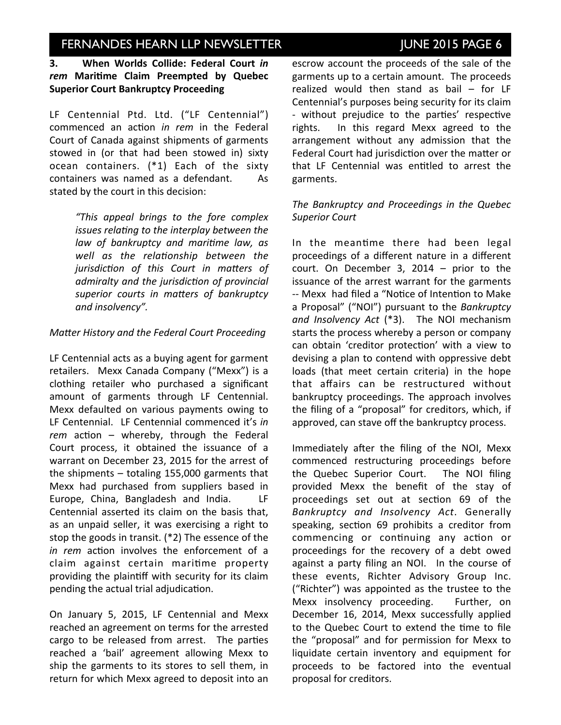## INVESTOR NEERN ISSUE NEWSLETTER ISSUE ISSUE NOT THE 2015 PAGE 6

### **3.** When Worlds Collide: Federal Court *in* rem Maritime Claim Preempted by Quebec **Superior Court Bankruptcy Proceeding**

LF Centennial Ptd. Ltd. ("LF Centennial") commenced an action *in rem* in the Federal Court of Canada against shipments of garments stowed in (or that had been stowed in) sixty ocean containers.  $(*1)$  Each of the sixty containers was named as a defendant. As stated by the court in this decision:

> *"This appeal brings to the fore complex issues relating to the interplay between the law* of bankruptcy and maritime law, as well as the relationship between the jurisdiction of this Court in matters of *admiralty and the jurisdiction of provincial* superior courts in matters of bankruptcy *and insolvency".*

#### *Matter History and the Federal Court Proceeding*

LF Centennial acts as a buying agent for garment retailers. Mexx Canada Company ("Mexx") is a clothing retailer who purchased a significant amount of garments through LF Centennial. Mexx defaulted on various payments owing to LF Centennial. LF Centennial commenced it's in rem action – whereby, through the Federal Court process, it obtained the issuance of a warrant on December 23, 2015 for the arrest of the shipments  $-$  totaling 155,000 garments that Mexx had purchased from suppliers based in Europe, China, Bangladesh and India. LF Centennial asserted its claim on the basis that, as an unpaid seller, it was exercising a right to stop the goods in transit.  $(*2)$  The essence of the *in rem* action involves the enforcement of a claim against certain maritime property providing the plaintiff with security for its claim pending the actual trial adjudication.

On January 5, 2015, LF Centennial and Mexx reached an agreement on terms for the arrested cargo to be released from arrest. The parties reached a 'bail' agreement allowing Mexx to ship the garments to its stores to sell them, in return for which Mexx agreed to deposit into an escrow account the proceeds of the sale of the garments up to a certain amount. The proceeds realized would then stand as bail  $-$  for LF Centennial's purposes being security for its claim - without prejudice to the parties' respective rights. In this regard Mexx agreed to the arrangement without any admission that the Federal Court had jurisdiction over the matter or that LF Centennial was entitled to arrest the garments. 

### The Bankruptcy and Proceedings in the Quebec *Superior Court*

In the meantime there had been legal proceedings of a different nature in a different court. On December 3,  $2014$  – prior to the issuance of the arrest warrant for the garments -- Mexx had filed a "Notice of Intention to Make a Proposal" ("NOI") pursuant to the *Bankruptcy* and Insolvency Act (\*3). The NOI mechanism starts the process whereby a person or company can obtain 'creditor protection' with a view to devising a plan to contend with oppressive debt loads (that meet certain criteria) in the hope that affairs can be restructured without bankruptcy proceedings. The approach involves the filing of a "proposal" for creditors, which, if approved, can stave off the bankruptcy process.

Immediately after the filing of the NOI, Mexx commenced restructuring proceedings before the Quebec Superior Court. The NOI filing provided Mexx the benefit of the stay of proceedings set out at section 69 of the *Bankruptcy and Insolvency Act*. Generally speaking, section 69 prohibits a creditor from commencing or continuing any action or proceedings for the recovery of a debt owed against a party filing an NOI. In the course of these events, Richter Advisory Group Inc. ("Richter") was appointed as the trustee to the Mexx insolvency proceeding. Further, on December 16, 2014, Mexx successfully applied to the Quebec Court to extend the time to file the "proposal" and for permission for Mexx to liquidate certain inventory and equipment for proceeds to be factored into the eventual proposal for creditors.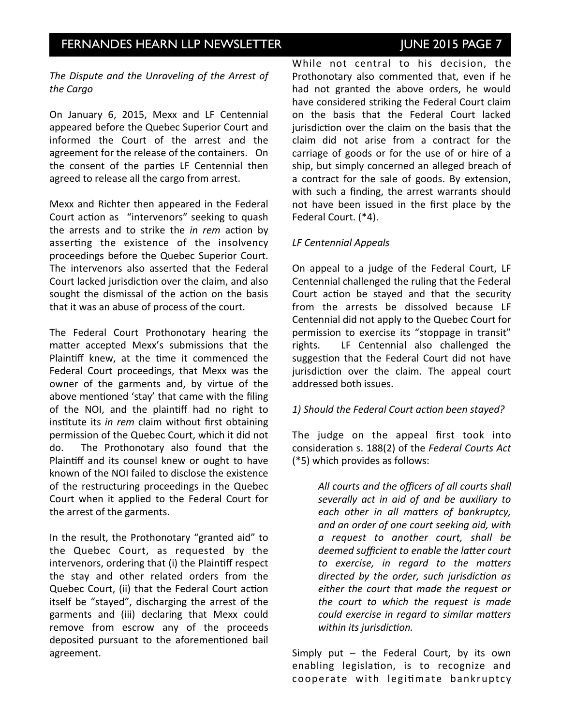## INVESTOR NEARN LLP NEWSLETTER ISSUE ISSUE NOT THE 2015 PAGE 7

The Dispute and the Unraveling of the Arrest of *the Cargo*

On January 6, 2015, Mexx and LF Centennial appeared before the Quebec Superior Court and informed the Court of the arrest and the agreement for the release of the containers. On the consent of the parties LF Centennial then agreed to release all the cargo from arrest.

Mexx and Richter then appeared in the Federal Court action as "intervenors" seeking to quash the arrests and to strike the *in rem* action by asserting the existence of the insolvency proceedings before the Quebec Superior Court. The intervenors also asserted that the Federal Court lacked jurisdiction over the claim, and also sought the dismissal of the action on the basis that it was an abuse of process of the court.

The Federal Court Prothonotary hearing the matter accepted Mexx's submissions that the Plaintiff knew, at the time it commenced the Federal Court proceedings, that Mexx was the owner of the garments and, by virtue of the above mentioned 'stay' that came with the filing of the NOI, and the plaintiff had no right to institute its *in rem* claim without first obtaining permission of the Quebec Court, which it did not do. The Prothonotary also found that the Plaintiff and its counsel knew or ought to have known of the NOI failed to disclose the existence of the restructuring proceedings in the Quebec Court when it applied to the Federal Court for the arrest of the garments.

In the result, the Prothonotary "granted aid" to the Quebec Court, as requested by the intervenors, ordering that (i) the Plaintiff respect the stay and other related orders from the Quebec Court, (ii) that the Federal Court action itself be "stayed", discharging the arrest of the garments and (iii) declaring that Mexx could remove from escrow any of the proceeds deposited pursuant to the aforementioned bail agreement. 

While not central to his decision, the Prothonotary also commented that, even if he had not granted the above orders, he would have considered striking the Federal Court claim on the basis that the Federal Court lacked jurisdiction over the claim on the basis that the claim did not arise from a contract for the carriage of goods or for the use of or hire of a ship, but simply concerned an alleged breach of a contract for the sale of goods. By extension, with such a finding, the arrest warrants should not have been issued in the first place by the Federal Court. (\*4).

#### *LF Centennial Appeals*

On appeal to a judge of the Federal Court, LF Centennial challenged the ruling that the Federal Court action be stayed and that the security from the arrests be dissolved because LF Centennial did not apply to the Quebec Court for permission to exercise its "stoppage in transit" rights. LF Centennial also challenged the suggestion that the Federal Court did not have jurisdiction over the claim. The appeal court addressed both issues.

#### 1) Should the Federal Court action been stayed?

The judge on the appeal first took into consideration s. 188(2) of the Federal Courts Act (\*5) which provides as follows:

> All courts and the officers of all courts shall *severally act in aid of and be auxiliary to each other in all matters of bankruptcy, and an order of one court seeking aid, with a request to another court, shall be*  deemed sufficient to enable the latter court *to* exercise, in regard to the matters directed by the order, such jurisdiction as either the court that made the request or *the court to which the request is made could exercise in regard to similar matters within* its jurisdiction.

Simply put  $-$  the Federal Court, by its own enabling legislation, is to recognize and cooperate with legitimate bankruptcy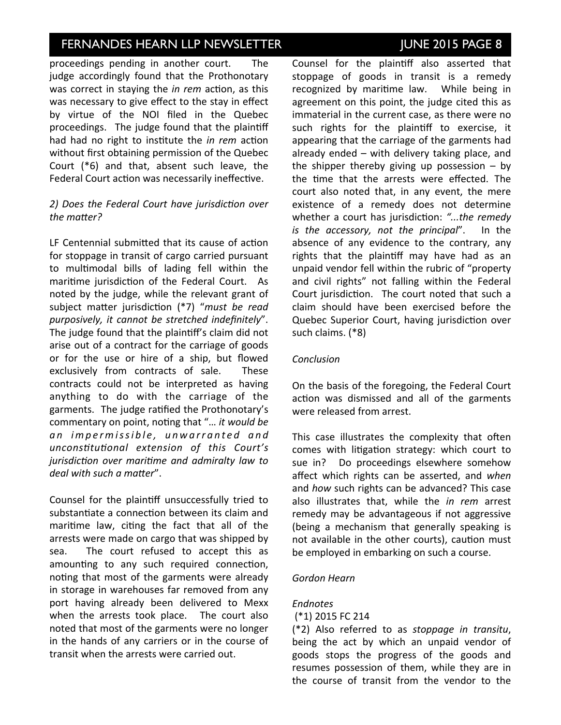## INVESTOR NEARN LLP NEWSLETTER ISSUE ISSUE NOT THE 2015 PAGE 8

proceedings pending in another court. The judge accordingly found that the Prothonotary was correct in staying the *in rem* action, as this was necessary to give effect to the stay in effect by virtue of the NOI filed in the Quebec proceedings. The judge found that the plaintiff had had no right to institute the *in rem* action without first obtaining permission of the Quebec Court  $(*6)$  and that, absent such leave, the Federal Court action was necessarily ineffective.

#### 2) Does the Federal Court have jurisdiction over the matter?

LF Centennial submitted that its cause of action for stoppage in transit of cargo carried pursuant to multimodal bills of lading fell within the maritime jurisdiction of the Federal Court. As noted by the judge, while the relevant grant of subject matter jurisdiction (\*7) "must be read purposively, it cannot be stretched indefinitely". The judge found that the plaintiff's claim did not arise out of a contract for the carriage of goods or for the use or hire of a ship, but flowed exclusively from contracts of sale. These contracts could not be interpreted as having anything to do with the carriage of the garments. The judge ratified the Prothonotary's commentary on point, noting that "... it would be an impermissible, unwarranted and *unconstitutional extension of this Court's jurisdiction over maritime and admiralty law to deal* with such a matter".

Counsel for the plaintiff unsuccessfully tried to substantiate a connection between its claim and maritime law, citing the fact that all of the arrests were made on cargo that was shipped by sea. The court refused to accept this as amounting to any such required connection, noting that most of the garments were already in storage in warehouses far removed from any port having already been delivered to Mexx when the arrests took place. The court also noted that most of the garments were no longer in the hands of any carriers or in the course of transit when the arrests were carried out.

Counsel for the plaintiff also asserted that stoppage of goods in transit is a remedy recognized by maritime law. While being in agreement on this point, the judge cited this as immaterial in the current case, as there were no such rights for the plaintiff to exercise, it appearing that the carriage of the garments had already ended  $-$  with delivery taking place, and the shipper thereby giving up possession  $-$  by the time that the arrests were effected. The court also noted that, in any event, the mere existence of a remedy does not determine whether a court has jurisdiction: "...the remedy *is* the accessory, not the principal". In the absence of any evidence to the contrary, any rights that the plaintiff may have had as an unpaid vendor fell within the rubric of "property and civil rights" not falling within the Federal Court jurisdiction. The court noted that such a claim should have been exercised before the Quebec Superior Court, having jurisdiction over such claims. (\*8)

### *Conclusion*

On the basis of the foregoing, the Federal Court action was dismissed and all of the garments were released from arrest.

This case illustrates the complexity that often comes with litigation strategy: which court to sue in? Do proceedings elsewhere somehow affect which rights can be asserted, and *when* and *how* such rights can be advanced? This case also illustrates that, while the *in rem* arrest remedy may be advantageous if not aggressive (being a mechanism that generally speaking is not available in the other courts), caution must be employed in embarking on such a course.

#### *Gordon Hearn*

#### *Endnotes*

#### (\*1) 2015 FC 214

(\*2) Also referred to as *stoppage in transitu*, being the act by which an unpaid vendor of goods stops the progress of the goods and resumes possession of them, while they are in the course of transit from the vendor to the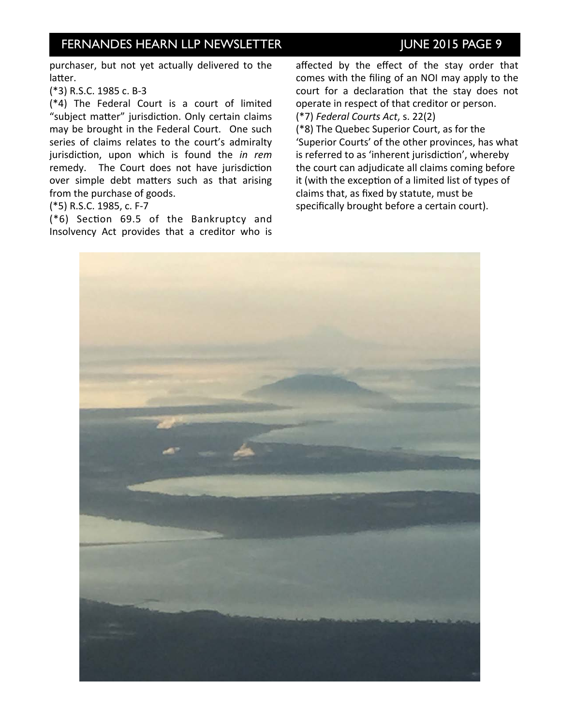## INVESTOR NEERN ISSUE NEWSLETTER ISSUE NOT THE 2015 PAGE 9

purchaser, but not yet actually delivered to the latter.

(\*3) R.S.C. 1985 c. B-3

 $(*4)$  The Federal Court is a court of limited "subject matter" jurisdiction. Only certain claims may be brought in the Federal Court. One such series of claims relates to the court's admiralty jurisdiction, upon which is found the *in rem* remedy. The Court does not have jurisdiction over simple debt matters such as that arising from the purchase of goods.

(\*5) R.S.C. 1985, c. F-7

 $(*6)$  Section 69.5 of the Bankruptcy and Insolvency Act provides that a creditor who is 

affected by the effect of the stay order that comes with the filing of an NOI may apply to the court for a declaration that the stay does not operate in respect of that creditor or person. (\*7) *Federal Courts Act*, s. 22(2)

(\*8) The Quebec Superior Court, as for the 'Superior Courts' of the other provinces, has what is referred to as 'inherent jurisdiction', whereby the court can adjudicate all claims coming before it (with the exception of a limited list of types of claims that, as fixed by statute, must be specifically brought before a certain court).

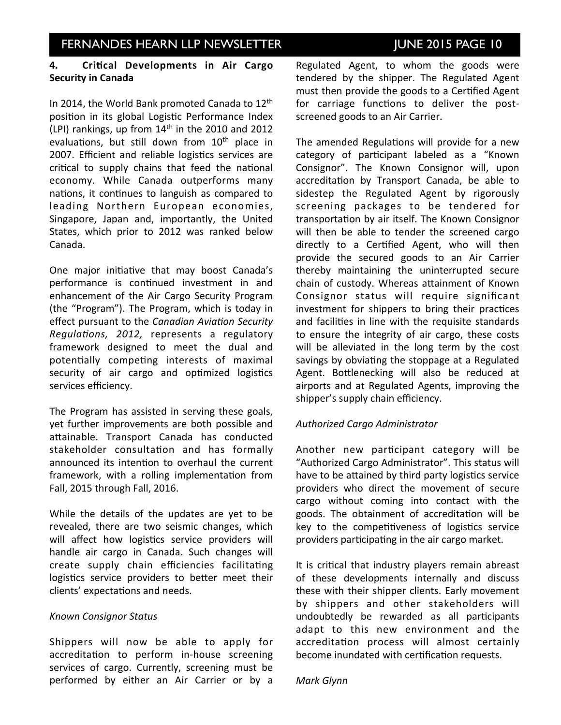### 4. Critical Developments in Air Cargo **Security in Canada**

In 2014, the World Bank promoted Canada to  $12<sup>th</sup>$ position in its global Logistic Performance Index (LPI) rankings, up from  $14<sup>th</sup>$  in the 2010 and 2012 evaluations, but still down from  $10<sup>th</sup>$  place in 2007. Efficient and reliable logistics services are critical to supply chains that feed the national economy. While Canada outperforms many nations, it continues to languish as compared to leading Northern European economies, Singapore, Japan and, importantly, the United States, which prior to 2012 was ranked below Canada. 

One major initiative that may boost Canada's performance is continued investment in and enhancement of the Air Cargo Security Program (the "Program"). The Program, which is today in effect pursuant to the *Canadian Aviation Security Regulations, 2012, represents a regulatory* framework designed to meet the dual and potentially competing interests of maximal security of air cargo and optimized logistics services efficiency.

The Program has assisted in serving these goals, yet further improvements are both possible and attainable. Transport Canada has conducted stakeholder consultation and has formally announced its intention to overhaul the current framework, with a rolling implementation from Fall, 2015 through Fall, 2016.

While the details of the updates are yet to be revealed, there are two seismic changes, which will affect how logistics service providers will handle air cargo in Canada. Such changes will create supply chain efficiencies facilitating logistics service providers to better meet their clients' expectations and needs.

#### *Known Consignor Status*

Shippers will now be able to apply for accreditation to perform in-house screening services of cargo. Currently, screening must be performed by either an Air Carrier or by a

Regulated Agent, to whom the goods were tendered by the shipper. The Regulated Agent must then provide the goods to a Certified Agent for carriage functions to deliver the postscreened goods to an Air Carrier.

The amended Regulations will provide for a new category of participant labeled as a "Known Consignor". The Known Consignor will, upon accreditation by Transport Canada, be able to sidestep the Regulated Agent by rigorously screening packages to be tendered for transportation by air itself. The Known Consignor will then be able to tender the screened cargo directly to a Certified Agent, who will then provide the secured goods to an Air Carrier thereby maintaining the uninterrupted secure chain of custody. Whereas attainment of Known Consignor status will require significant investment for shippers to bring their practices and facilities in line with the requisite standards to ensure the integrity of air cargo, these costs will be alleviated in the long term by the cost savings by obviating the stoppage at a Regulated Agent. Bottlenecking will also be reduced at airports and at Regulated Agents, improving the shipper's supply chain efficiency.

### *Authorized Cargo Administrator*

Another new participant category will be "Authorized Cargo Administrator". This status will have to be attained by third party logistics service providers who direct the movement of secure cargo without coming into contact with the goods. The obtainment of accreditation will be key to the competitiveness of logistics service providers participating in the air cargo market.

It is critical that industry players remain abreast of these developments internally and discuss these with their shipper clients. Early movement by shippers and other stakeholders will undoubtedly be rewarded as all participants adapt to this new environment and the accreditation process will almost certainly become inundated with certification requests.

#### *Mark Glynn*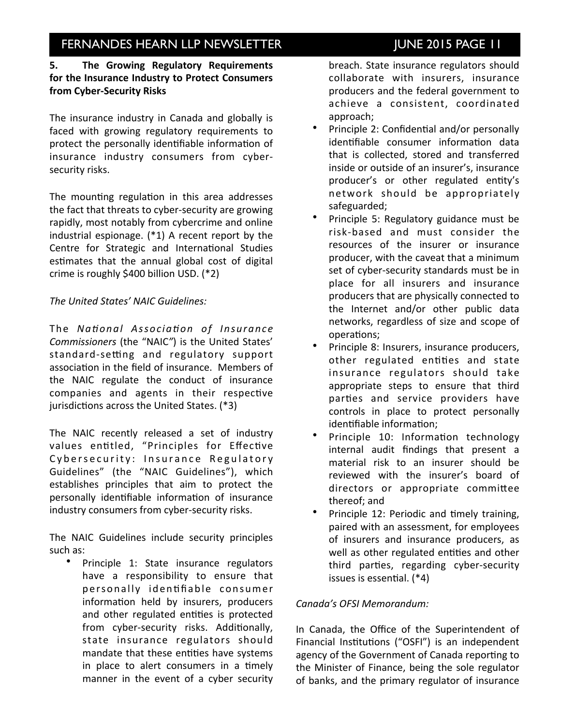## INVESTOR NEERN ISSUE NEWSLETTER ISSUE NOT THE 2015 PAGE 11

### **5.** The Growing Regulatory Requirements for the Insurance Industry to Protect Consumers **from Cyber-Security Risks**

The insurance industry in Canada and globally is faced with growing regulatory requirements to protect the personally identifiable information of insurance industry consumers from cybersecurity risks.

The mounting regulation in this area addresses the fact that threats to cyber-security are growing rapidly, most notably from cybercrime and online industrial espionage.  $(*1)$  A recent report by the Centre for Strategic and International Studies estimates that the annual global cost of digital crime is roughly \$400 billion USD.  $(*2)$ 

### The United States' NAIC Guidelines:

The *National Association of Insurance Commissioners* (the "NAIC") is the United States' standard-setting and regulatory support association in the field of insurance. Members of the NAIC regulate the conduct of insurance companies and agents in their respective jurisdictions across the United States. (\*3)

The NAIC recently released a set of industry values entitled, "Principles for Effective Cybersecurity: Insurance Regulatory Guidelines" (the "NAIC Guidelines"), which establishes principles that aim to protect the personally identifiable information of insurance industry consumers from cyber-security risks.

The NAIC Guidelines include security principles such as:

• Principle 1: State insurance regulators have a responsibility to ensure that personally identifiable consumer information held by insurers, producers and other regulated entities is protected from cyber-security risks. Additionally, state insurance regulators should mandate that these entities have systems in place to alert consumers in a timely manner in the event of a cyber security breach. State insurance regulators should collaborate with insurers, insurance producers and the federal government to achieve a consistent, coordinated approach;

- Principle 2: Confidential and/or personally identifiable consumer information data that is collected, stored and transferred inside or outside of an insurer's, insurance producer's or other regulated entity's network should be appropriately safeguarded;
- Principle 5: Regulatory guidance must be risk-based and must consider the resources of the insurer or insurance producer, with the caveat that a minimum set of cyber-security standards must be in place for all insurers and insurance producers that are physically connected to the Internet and/or other public data networks, regardless of size and scope of operations;
- Principle 8: Insurers, insurance producers, other regulated entities and state insurance regulators should take appropriate steps to ensure that third parties and service providers have controls in place to protect personally identifiable information:
- Principle 10: Information technology internal audit findings that present a material risk to an insurer should be reviewed with the insurer's board of directors or appropriate committee thereof; and
- Principle 12: Periodic and timely training, paired with an assessment, for employees of insurers and insurance producers, as well as other regulated entities and other third parties, regarding cyber-security issues is essential.  $(*4)$

#### Canada's OFSI Memorandum:

In Canada, the Office of the Superintendent of Financial Institutions ("OSFI") is an independent agency of the Government of Canada reporting to the Minister of Finance, being the sole regulator of banks, and the primary regulator of insurance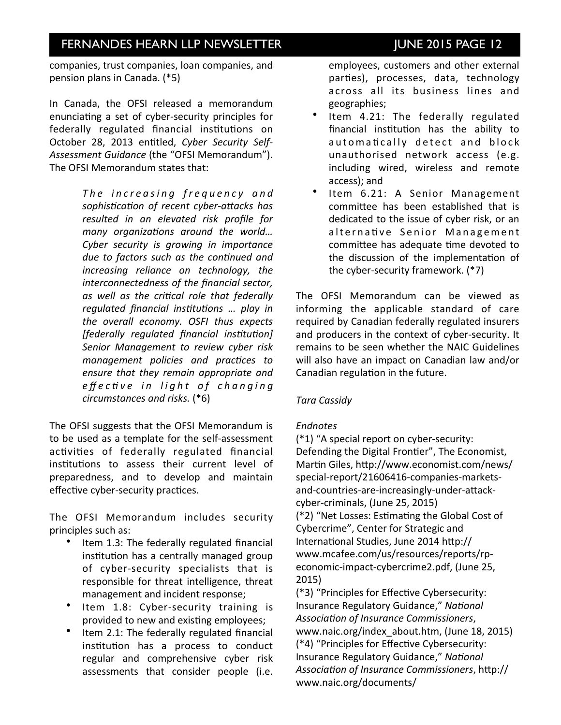companies, trust companies, loan companies, and pension plans in Canada. (\*5)

In Canada, the OFSI released a memorandum enunciating a set of cyber-security principles for federally regulated financial institutions on October 28, 2013 entitled, Cyber Security Self-Assessment Guidance (the "OFSI Memorandum"). The OFSI Memorandum states that:

> The increasing frequency and sophistication of recent cyber-attacks has *resulted in an elevated risk profile for*  many organizations around the world... Cyber security is growing in importance *due to factors such as the continued and increasing reliance on technology, the interconnectedness of the financial sector,* as well as the critical role that federally *regulated financial institutions ... play in* the overall economy. OSFI thus expects *[federally regulated financial institution]* Senior Management to review cyber risk *management policies and practices to* ensure that they remain appropriate and *e* ff e c tive in light of changing *circumstances and risks.* (\*6)

The OFSI suggests that the OFSI Memorandum is to be used as a template for the self-assessment activities of federally regulated financial institutions to assess their current level of preparedness, and to develop and maintain effective cyber-security practices.

The OFSI Memorandum includes security principles such as:

- Item 1.3: The federally regulated financial institution has a centrally managed group of cyber-security specialists that is responsible for threat intelligence, threat management and incident response;
- Item 1.8: Cyber-security training is provided to new and existing employees;
- Item 2.1: The federally regulated financial institution has a process to conduct regular and comprehensive cyber risk assessments that consider people (i.e.

employees, customers and other external parties), processes, data, technology across all its business lines and geographies; 

- Item 4.21: The federally regulated financial institution has the ability to automatically detect and block unauthorised network access (e.g. including wired, wireless and remote access); and
- Item 6.21: A Senior Management committee has been established that is dedicated to the issue of cyber risk, or an alternative Senior Management committee has adequate time devoted to the discussion of the implementation of the cyber-security framework.  $(*7)$

The OFSI Memorandum can be viewed as informing the applicable standard of care required by Canadian federally regulated insurers and producers in the context of cyber-security. It remains to be seen whether the NAIC Guidelines will also have an impact on Canadian law and/or Canadian regulation in the future.

### *Tara Cassidy*

### *Endnotes*

 $(*1)$  "A special report on cyber-security: Defending the Digital Frontier", The Economist, Martin Giles, http://www.economist.com/news/ [special-report/21606416-companies-markets](http://www.economist.com/news/special-report/21606416-companies-markets-and-countries-are-increasingly-under-attack-cyber-criminals)and-countries-are-increasingly-under-attack[cyber-criminals,](http://www.economist.com/news/special-report/21606416-companies-markets-and-countries-are-increasingly-under-attack-cyber-criminals) (June 25, 2015) (\*2) "Net Losses: Estimating the Global Cost of Cybercrime", Center for Strategic and International Studies, June 2014 http:// [www.mcafee.com/us/resources/reports/rp](http://www.mcafee.com/us/resources/reports/rp-economic-impact-cybercrime2.pdf)[economic-impact-cybercrime2.pdf,](http://www.mcafee.com/us/resources/reports/rp-economic-impact-cybercrime2.pdf) (June 25, 2015)

(\*3) "Principles for Effective Cybersecurity: Insurance Regulatory Guidance," National Association of Insurance Commissioners, www.naic.org/index about.htm, (June 18, 2015) (\*4) "Principles for Effective Cybersecurity: Insurance Regulatory Guidance," National Association of Insurance Commissioners, http:// [www.naic.org/documents/](http://www.naic.org/documents/committees_ex_cybersecurity_tf_final_principles_for_cybersecurity_guidance.pdf)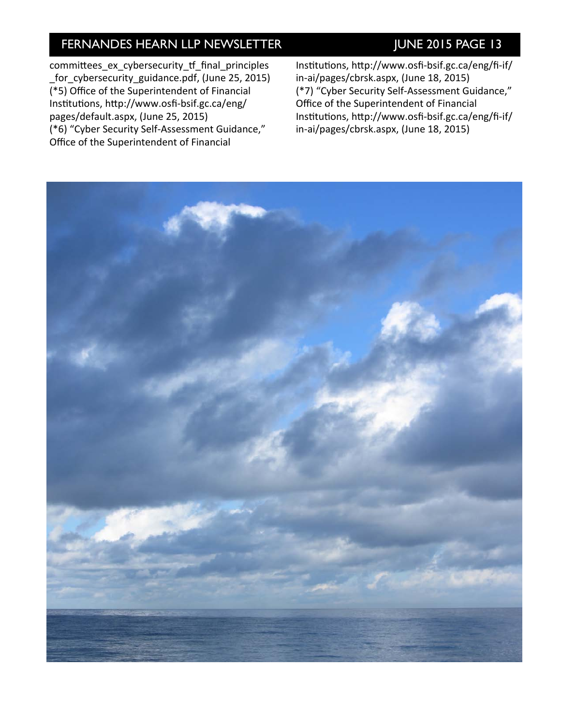committees\_ex\_cybersecurity\_tf\_final\_principles [\\_for\\_cybersecurity\\_guidance.pdf,](http://www.naic.org/documents/committees_ex_cybersecurity_tf_final_principles_for_cybersecurity_guidance.pdf) (June 25, 2015) (\*5) Office of the Superintendent of Financial Institutions, http://www.osfi-bsif.gc.ca/eng/ [pages/default.aspx,](http://www.osfi-bsif.gc.ca/eng/pages/default.aspx) (June 25, 2015) (\*6) "Cyber Security Self-Assessment Guidance," Office of the Superintendent of Financial

Institutions, http://www.osfi-bsif.gc.ca/eng/fi-if/ [in-ai/pages/cbrsk.aspx,](http://www.osfi-bsif.gc.ca/eng/fi-if/in-ai/pages/cbrsk.aspx) (June 18, 2015) (\*7) "Cyber Security Self-Assessment Guidance," Office of the Superintendent of Financial Institutions, http://www.osfi-bsif.gc.ca/eng/fi-if/ [in-ai/pages/cbrsk.aspx,](http://www.osfi-bsif.gc.ca/eng/fi-if/in-ai/pages/cbrsk.aspx) (June 18, 2015)